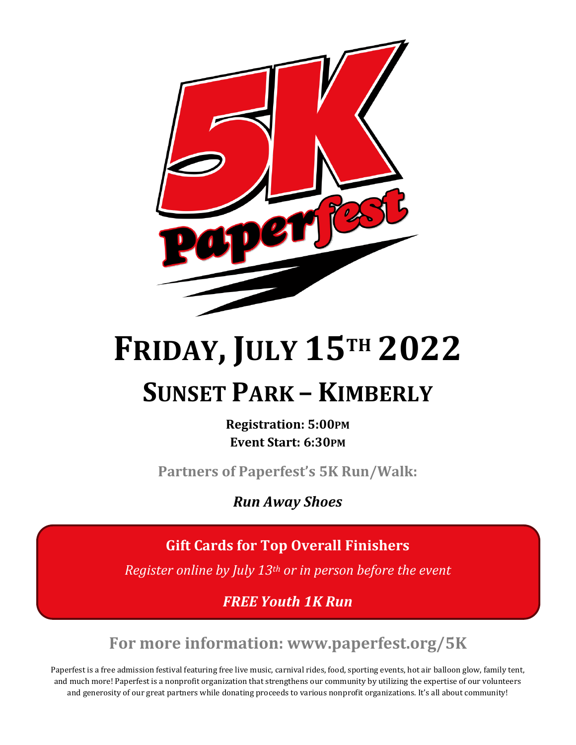

# **FRIDAY, JULY 15TH 2022 SUNSET PARK – KIMBERLY**

**Registration: 5:00PM Event Start: 6:30PM**

**Partners of Paperfest's 5K Run/Walk:**

*Run Away Shoes* 

**Gift Cards for Top Overall Finishers**

*Register online by July 13th or in person before the event*

*FREE Youth 1K Run*

**For more information: www.paperfest.org/5K**

Paperfest is a free admission festival featuring free live music, carnival rides, food, sporting events, hot air balloon glow, family tent, and much more! Paperfest is a nonprofit organization that strengthens our community by utilizing the expertise of our volunteers and generosity of our great partners while donating proceeds to various nonprofit organizations. It's all about community!